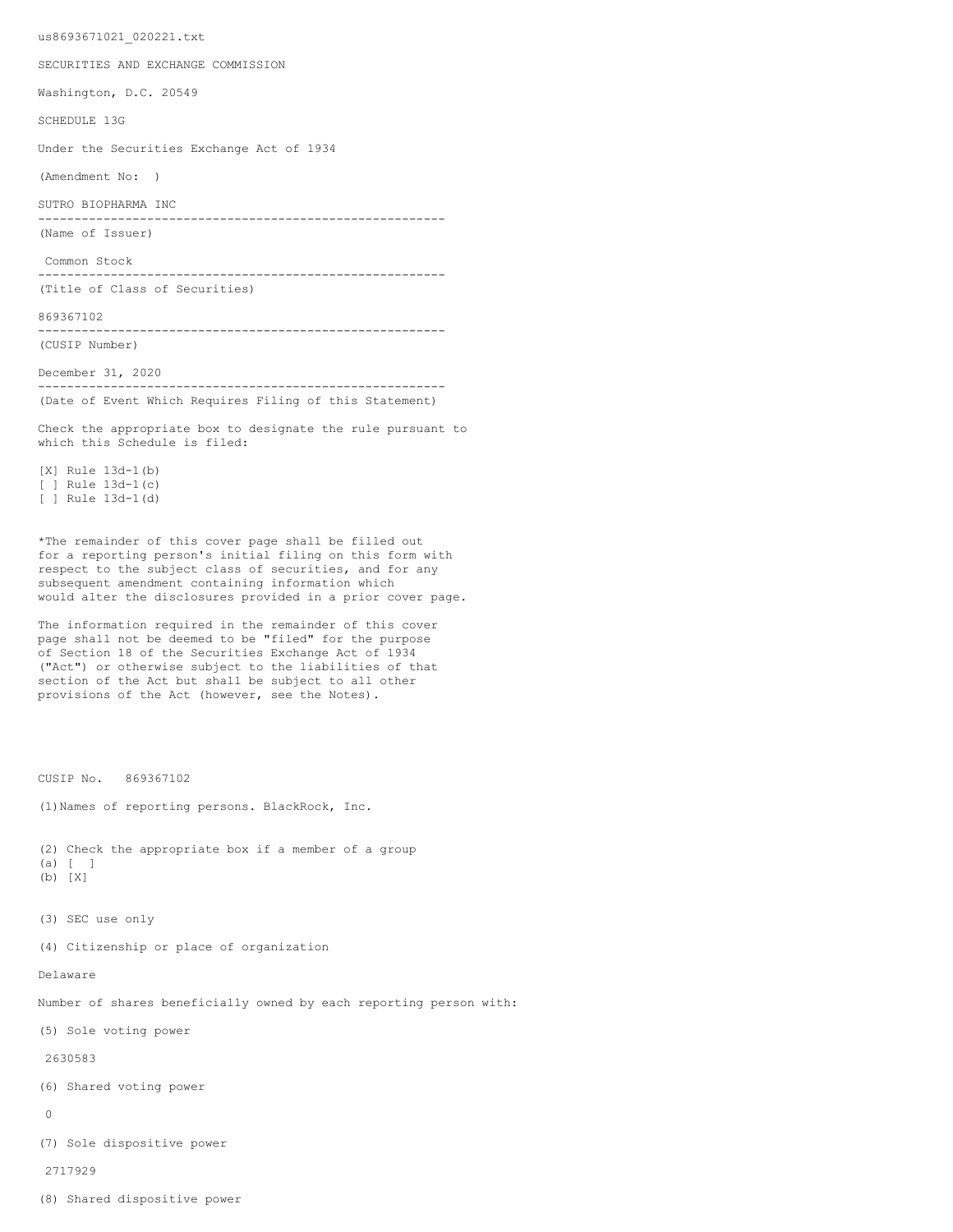us8693671021\_020221.txt

SECURITIES AND EXCHANGE COMMISSION

Washington, D.C. 20549

SCHEDULE 13G

Under the Securities Exchange Act of 1934

(Amendment No: )

SUTRO BIOPHARMA INC

-------------------------------------------------------- (Name of Issuer)

Common Stock

-------------------------------------------------------- (Title of Class of Securities)

869367102

-------------------------------------------------------- (CUSIP Number)

December 31, 2020

-------------------------------------------------------- (Date of Event Which Requires Filing of this Statement)

Check the appropriate box to designate the rule pursuant to which this Schedule is filed:

[X] Rule 13d-1(b) [ ] Rule 13d-1(c) [ ] Rule 13d-1(d)

\*The remainder of this cover page shall be filled out for a reporting person's initial filing on this form with respect to the subject class of securities, and for any subsequent amendment containing information which would alter the disclosures provided in a prior cover page.

The information required in the remainder of this cover page shall not be deemed to be "filed" for the purpose of Section 18 of the Securities Exchange Act of 1934 ("Act") or otherwise subject to the liabilities of that section of the Act but shall be subject to all other provisions of the Act (however, see the Notes).

CUSIP No. 869367102

(1)Names of reporting persons. BlackRock, Inc.

(2) Check the appropriate box if a member of a group (a) [ ] (b) [X]

- 
- (3) SEC use only

(4) Citizenship or place of organization

Delaware

Number of shares beneficially owned by each reporting person with:

(5) Sole voting power

2630583

(6) Shared voting power

 $\Omega$ 

(7) Sole dispositive power

2717929

(8) Shared dispositive power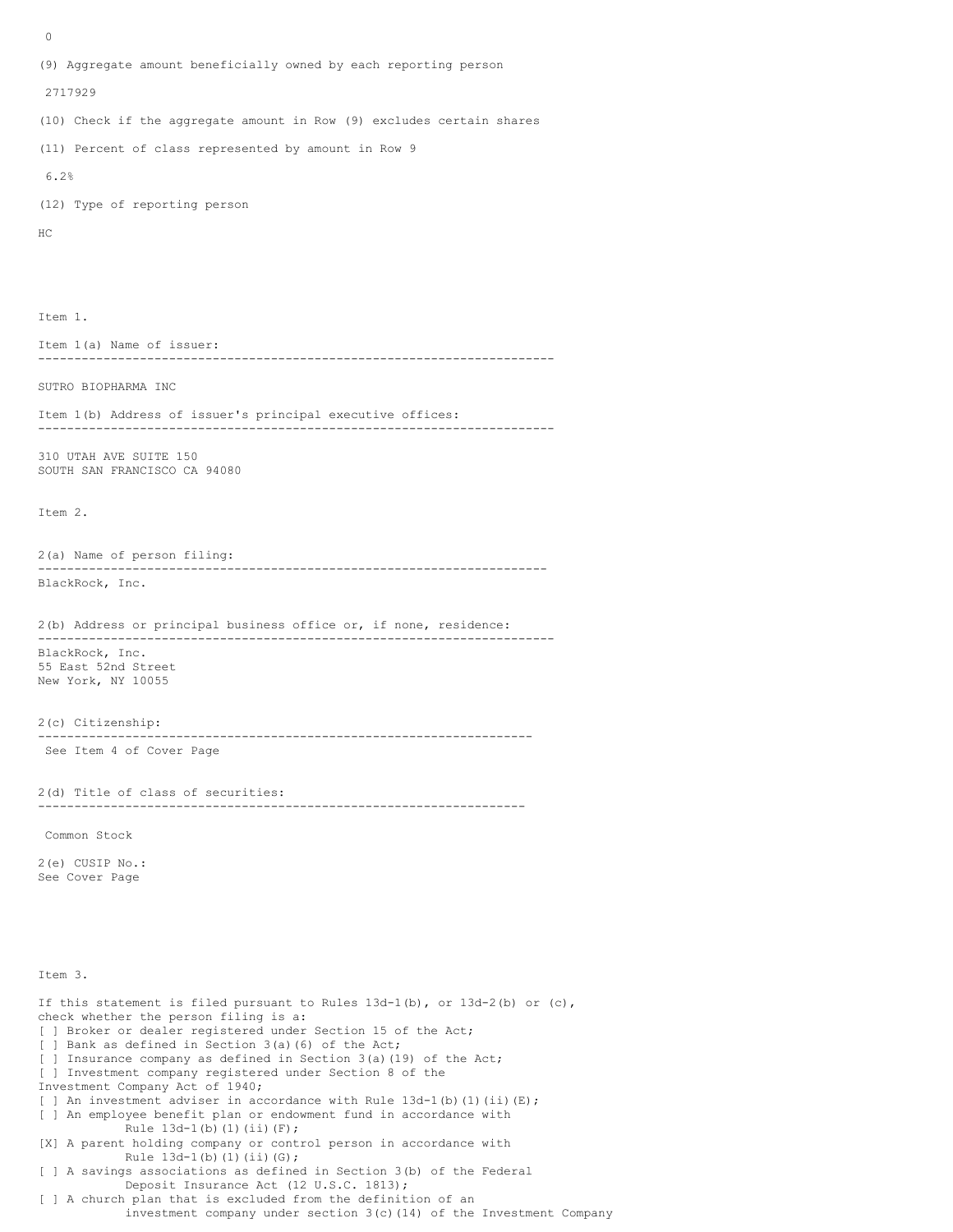0 (9) Aggregate amount beneficially owned by each reporting person 2717929 (10) Check if the aggregate amount in Row (9) excludes certain shares (11) Percent of class represented by amount in Row 9 6.2% (12) Type of reporting person HC Item 1. Item 1(a) Name of issuer: ----------------------------------------------------------------------- SUTRO BIOPHARMA INC Item 1(b) Address of issuer's principal executive offices: ----------------------------------------------------------------------- 310 UTAH AVE SUITE 150 SOUTH SAN FRANCISCO CA 94080 Item 2. 2(a) Name of person filing: ---------------------------------------------------------------------- BlackRock, Inc. 2(b) Address or principal business office or, if none, residence: ----------------------------------------------------------------------- BlackRock, Inc. 55 East 52nd Street New York, NY 10055 2(c) Citizenship: -------------------------------------------------------------------- See Item 4 of Cover Page 2(d) Title of class of securities: ------------------------------------------------------------------- Common Stock 2(e) CUSIP No.: See Cover Page Item 3. If this statement is filed pursuant to Rules  $13d-1(b)$ , or  $13d-2(b)$  or  $(c)$ , check whether the person filing is a: [ ] Broker or dealer registered under Section 15 of the Act; [ ] Bank as defined in Section 3(a)(6) of the Act; [ ] Insurance company as defined in Section 3(a)(19) of the Act; [ ] Investment company registered under Section 8 of the Investment Company Act of 1940; [ ] An investment adviser in accordance with Rule  $13d-1$ (b)(1)(ii)(E); [ ] An employee benefit plan or endowment fund in accordance with Rule  $13d-1(b)$  (1)(ii)(F);

[X] A parent holding company or control person in accordance with Rule 13d-1(b)(1)(ii)(G);

[ ] A savings associations as defined in Section 3(b) of the Federal Deposit Insurance Act (12 U.S.C. 1813);

[ ] A church plan that is excluded from the definition of an investment company under section 3(c)(14) of the Investment Company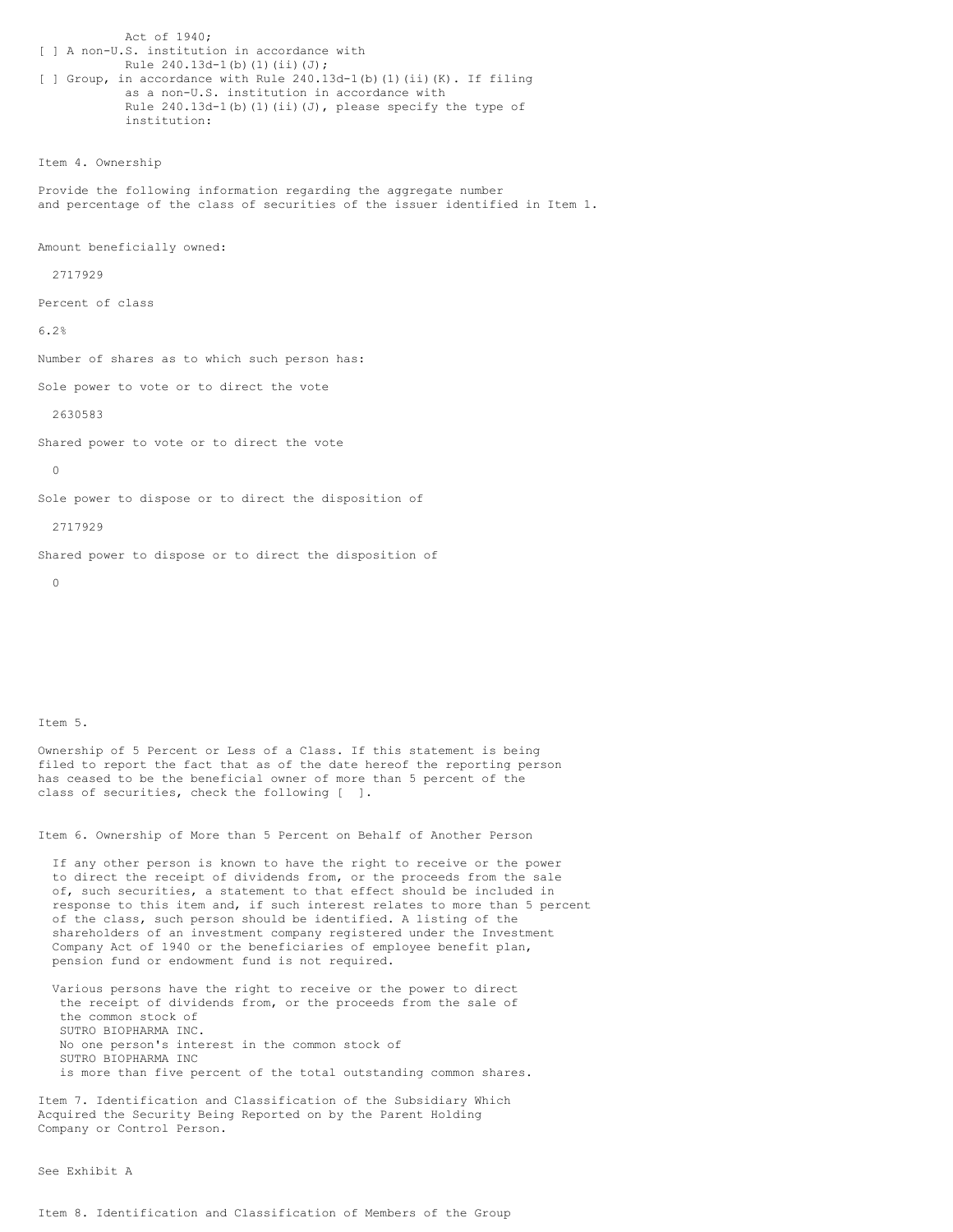Act of 1940; [ ] A non-U.S. institution in accordance with Rule 240.13d-1(b)(1)(ii)(J); [ ] Group, in accordance with Rule 240.13d-1(b)(1)(ii)(K). If filing as a non-U.S. institution in accordance with Rule  $240.13d-1$ (b)(1)(ii)(J), please specify the type of institution:

Item 4. Ownership

Provide the following information regarding the aggregate number and percentage of the class of securities of the issuer identified in Item 1.

Amount beneficially owned:

2717929

Percent of class

6.2%

Number of shares as to which such person has:

Sole power to vote or to direct the vote

2630583

Shared power to vote or to direct the vote

 $\cap$ 

Sole power to dispose or to direct the disposition of

2717929

Shared power to dispose or to direct the disposition of

 $\Omega$ 

## Item 5.

Ownership of 5 Percent or Less of a Class. If this statement is being filed to report the fact that as of the date hereof the reporting person has ceased to be the beneficial owner of more than 5 percent of the class of securities, check the following [ ].

Item 6. Ownership of More than 5 Percent on Behalf of Another Person

If any other person is known to have the right to receive or the power to direct the receipt of dividends from, or the proceeds from the sale of, such securities, a statement to that effect should be included in response to this item and, if such interest relates to more than 5 percent of the class, such person should be identified. A listing of the shareholders of an investment company registered under the Investment Company Act of 1940 or the beneficiaries of employee benefit plan, pension fund or endowment fund is not required.

Various persons have the right to receive or the power to direct the receipt of dividends from, or the proceeds from the sale of the common stock of SUTRO BIOPHARMA INC. No one person's interest in the common stock of SUTRO BIOPHARMA INC is more than five percent of the total outstanding common shares.

Item 7. Identification and Classification of the Subsidiary Which Acquired the Security Being Reported on by the Parent Holding Company or Control Person.

See Exhibit A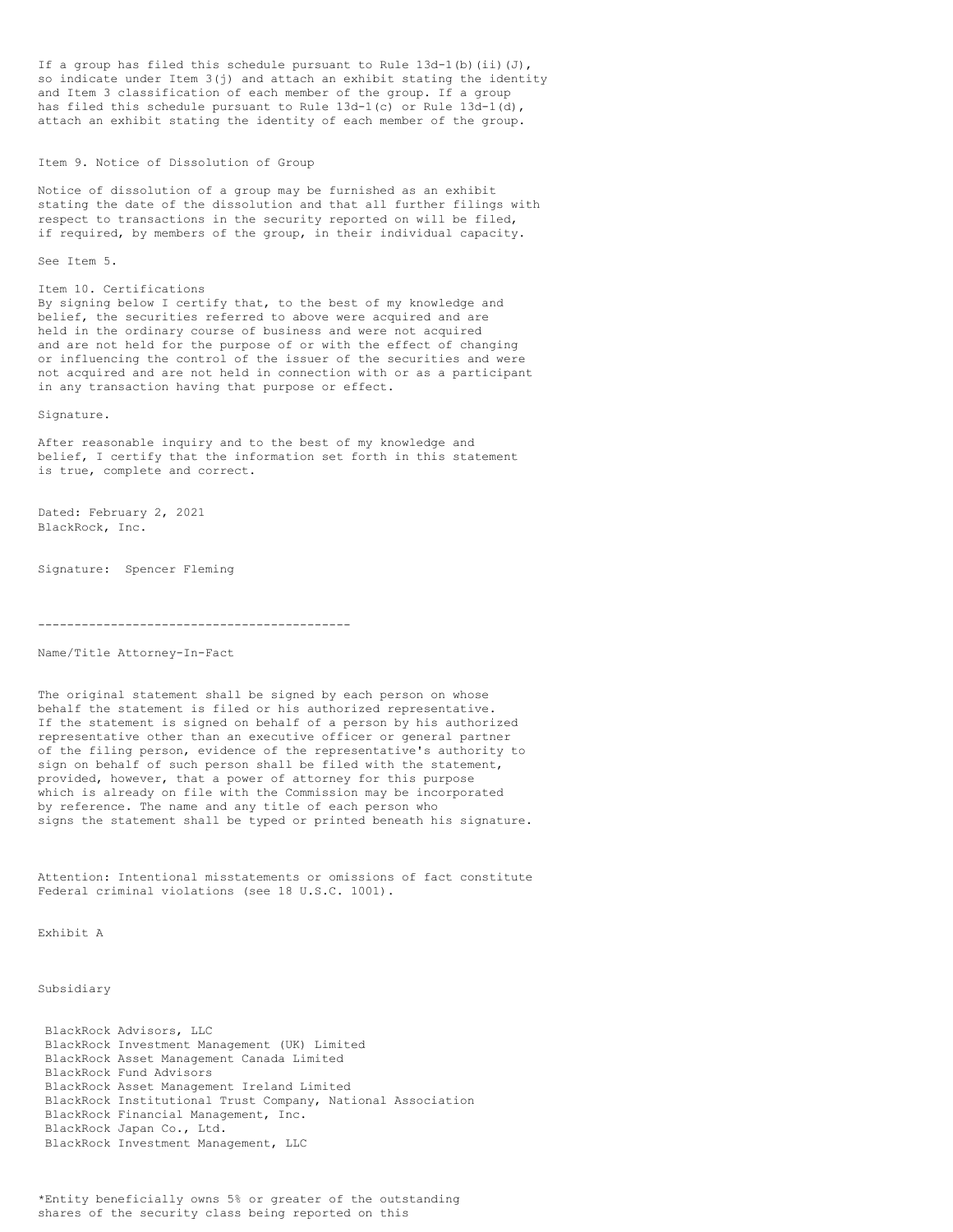If a group has filed this schedule pursuant to Rule  $13d-1$ (b)(ii)(J), so indicate under Item 3(j) and attach an exhibit stating the identity and Item 3 classification of each member of the group. If a group has filed this schedule pursuant to Rule  $13d-1(c)$  or Rule  $13d-1(d)$ , attach an exhibit stating the identity of each member of the group.

Item 9. Notice of Dissolution of Group

Notice of dissolution of a group may be furnished as an exhibit stating the date of the dissolution and that all further filings with respect to transactions in the security reported on will be filed, if required, by members of the group, in their individual capacity.

See Item 5.

## Item 10. Certifications

By signing below I certify that, to the best of my knowledge and belief, the securities referred to above were acquired and are held in the ordinary course of business and were not acquired and are not held for the purpose of or with the effect of changing or influencing the control of the issuer of the securities and were not acquired and are not held in connection with or as a participant in any transaction having that purpose or effect.

Signature.

After reasonable inquiry and to the best of my knowledge and belief, I certify that the information set forth in this statement is true, complete and correct.

Dated: February 2, 2021 BlackRock, Inc.

Signature: Spencer Fleming

-------------------------------------------

Name/Title Attorney-In-Fact

The original statement shall be signed by each person on whose behalf the statement is filed or his authorized representative. If the statement is signed on behalf of a person by his authorized representative other than an executive officer or general partner of the filing person, evidence of the representative's authority to sign on behalf of such person shall be filed with the statement, provided, however, that a power of attorney for this purpose which is already on file with the Commission may be incorporated by reference. The name and any title of each person who signs the statement shall be typed or printed beneath his signature.

Attention: Intentional misstatements or omissions of fact constitute Federal criminal violations (see 18 U.S.C. 1001).

Exhibit A

Subsidiary

BlackRock Advisors, LLC BlackRock Investment Management (UK) Limited BlackRock Asset Management Canada Limited BlackRock Fund Advisors BlackRock Asset Management Ireland Limited BlackRock Institutional Trust Company, National Association BlackRock Financial Management, Inc. BlackRock Japan Co., Ltd. BlackRock Investment Management, LLC

\*Entity beneficially owns 5% or greater of the outstanding shares of the security class being reported on this